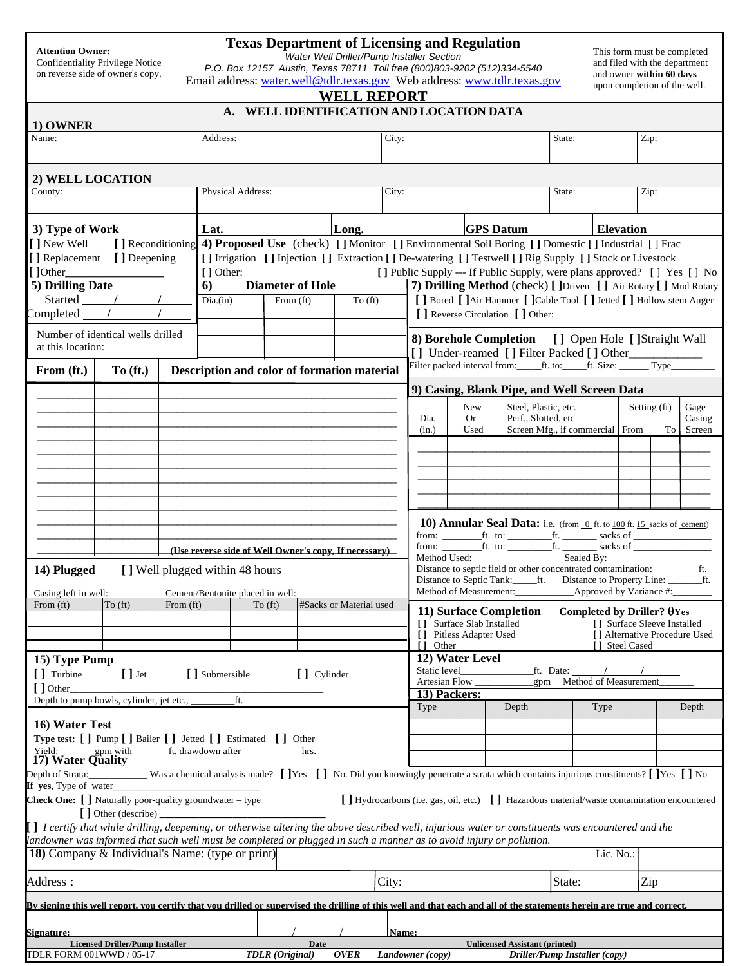| <b>Attention Owner:</b> |  |
|-------------------------|--|
|-------------------------|--|

Confidentiality Privilege Notice on reverse side of owner's copy.

## **Texas Department of Licensing and Regulation**

*Water Well Driller/Pump Installer Section* 

**WELL REPORT** 

*P.O. Box 12157 Austin, Texas 78711 Toll free (800)803-9202 (512)334-5540* Email address: water.well@tdlr.texas.gov Web address: www.tdlr.texas.gov This form must be completed and filed with the department and owner **within 60 days** upon completion of the well.

| A. WELL IDENTIFICATION AND LOCATION DATA<br>1) OWNER                                                                                                                                                     |                                        |           |                                  |                          |                        |                                                                                                                                                                                             |                                                       |                                                                        |                                                                                                                                                              |                                                      |                                                                                |                                    |             |                             |    |                               |
|----------------------------------------------------------------------------------------------------------------------------------------------------------------------------------------------------------|----------------------------------------|-----------|----------------------------------|--------------------------|------------------------|---------------------------------------------------------------------------------------------------------------------------------------------------------------------------------------------|-------------------------------------------------------|------------------------------------------------------------------------|--------------------------------------------------------------------------------------------------------------------------------------------------------------|------------------------------------------------------|--------------------------------------------------------------------------------|------------------------------------|-------------|-----------------------------|----|-------------------------------|
| Name:                                                                                                                                                                                                    |                                        |           | Address:<br>City:                |                          |                        |                                                                                                                                                                                             |                                                       |                                                                        |                                                                                                                                                              | State:                                               |                                                                                | Zip:                               |             |                             |    |                               |
|                                                                                                                                                                                                          |                                        |           |                                  |                          |                        |                                                                                                                                                                                             |                                                       |                                                                        |                                                                                                                                                              |                                                      |                                                                                |                                    |             |                             |    |                               |
| 2) WELL LOCATION<br>County:                                                                                                                                                                              |                                        |           |                                  | <b>Physical Address:</b> |                        |                                                                                                                                                                                             |                                                       | City:                                                                  |                                                                                                                                                              |                                                      |                                                                                | State:                             |             | Zip:                        |    |                               |
|                                                                                                                                                                                                          |                                        |           |                                  |                          |                        |                                                                                                                                                                                             |                                                       |                                                                        |                                                                                                                                                              |                                                      |                                                                                |                                    |             |                             |    |                               |
| 3) Type of Work<br>Long.<br>Lat.                                                                                                                                                                         |                                        |           |                                  |                          |                        |                                                                                                                                                                                             |                                                       | <b>GPS Datum</b>                                                       |                                                                                                                                                              |                                                      | <b>Elevation</b>                                                               |                                    |             |                             |    |                               |
| [] Reconditioning 4) Proposed Use (check) [] Monitor [] Environmental Soil Boring [] Domestic [] Industrial [] Frac<br>[ ] New Well                                                                      |                                        |           |                                  |                          |                        |                                                                                                                                                                                             |                                                       |                                                                        |                                                                                                                                                              |                                                      |                                                                                |                                    |             |                             |    |                               |
| [] Replacement [] Deepening                                                                                                                                                                              |                                        |           |                                  |                          |                        | [ ] Irrigation [ ] Injection [ ] Extraction [ ] De-watering [ ] Testwell [ ] Rig Supply [ ] Stock or Livestock                                                                              |                                                       |                                                                        |                                                                                                                                                              |                                                      |                                                                                |                                    |             |                             |    |                               |
| [ ]Other_<br>[ ] Other:<br><b>Diameter of Hole</b><br>5) Drilling Date<br>$\overline{6}$                                                                                                                 |                                        |           |                                  |                          |                        | [ ] Public Supply --- If Public Supply, were plans approved? [ ] Yes [ ] No<br>7) Drilling Method (check) [ ] Driven [ ] Air Rotary [ ] Mud Rotary                                          |                                                       |                                                                        |                                                                                                                                                              |                                                      |                                                                                |                                    |             |                             |    |                               |
| Started $\frac{1}{\sqrt{1-\frac{1}{2}}}$<br>Dia.(in)<br>From $(ft)$<br>To $(ft)$                                                                                                                         |                                        |           |                                  |                          |                        |                                                                                                                                                                                             |                                                       | [ ] Bored [ ]Air Hammer [ ]Cable Tool [ ] Jetted [ ] Hollow stem Auger |                                                                                                                                                              |                                                      |                                                                                |                                    |             |                             |    |                               |
| Completed $\frac{1}{\sqrt{1-\frac{1}{2}}}$                                                                                                                                                               |                                        |           |                                  |                          |                        |                                                                                                                                                                                             |                                                       | [ ] Reverse Circulation [ ] Other:                                     |                                                                                                                                                              |                                                      |                                                                                |                                    |             |                             |    |                               |
| Number of identical wells drilled<br>at this location:                                                                                                                                                   |                                        |           |                                  |                          |                        | 8) Borehole Completion [ ] Open Hole [ ]Straight Wall<br>[] Under-reamed [] Filter Packed [] Other_________<br>Filter packed interval from: _____ft. to: _____ft. Size: _______ Type_______ |                                                       |                                                                        |                                                                                                                                                              |                                                      |                                                                                |                                    |             |                             |    |                               |
| From (ft.)                                                                                                                                                                                               | To (ft.)                               |           |                                  |                          |                        |                                                                                                                                                                                             | Description and color of formation material           |                                                                        |                                                                                                                                                              |                                                      |                                                                                |                                    |             |                             |    |                               |
|                                                                                                                                                                                                          |                                        |           |                                  |                          |                        |                                                                                                                                                                                             |                                                       |                                                                        |                                                                                                                                                              |                                                      | 9) Casing, Blank Pipe, and Well Screen Data                                    |                                    |             |                             |    |                               |
|                                                                                                                                                                                                          |                                        |           |                                  |                          |                        |                                                                                                                                                                                             |                                                       |                                                                        | Dia.<br>(in.)                                                                                                                                                | <b>New</b><br><b>Or</b><br>Used                      | Steel, Plastic, etc.<br>Perf., Slotted, etc<br>Screen Mfg., if commercial From |                                    |             | Setting (ft)                | To | Gage<br>Casing<br>Screen      |
|                                                                                                                                                                                                          |                                        |           |                                  |                          |                        |                                                                                                                                                                                             |                                                       |                                                                        |                                                                                                                                                              |                                                      |                                                                                |                                    |             |                             |    |                               |
|                                                                                                                                                                                                          |                                        |           |                                  |                          |                        |                                                                                                                                                                                             |                                                       |                                                                        |                                                                                                                                                              |                                                      |                                                                                |                                    |             |                             |    |                               |
|                                                                                                                                                                                                          |                                        |           |                                  |                          |                        |                                                                                                                                                                                             |                                                       |                                                                        |                                                                                                                                                              |                                                      |                                                                                |                                    |             |                             |    |                               |
|                                                                                                                                                                                                          |                                        |           |                                  |                          |                        |                                                                                                                                                                                             |                                                       |                                                                        |                                                                                                                                                              |                                                      |                                                                                |                                    |             |                             |    |                               |
|                                                                                                                                                                                                          |                                        |           |                                  |                          |                        |                                                                                                                                                                                             |                                                       |                                                                        |                                                                                                                                                              |                                                      |                                                                                |                                    |             |                             |    |                               |
|                                                                                                                                                                                                          |                                        |           |                                  |                          |                        |                                                                                                                                                                                             |                                                       |                                                                        | 10) Annular Seal Data: i.e. (from 0 ft. to 100 ft. 15 sacks of cement)<br>from: $\text{int. to: }$ $\text{int. to: }$ $\text{int. }$ sacks of $\text{int. }$ |                                                      |                                                                                |                                    |             |                             |    |                               |
|                                                                                                                                                                                                          |                                        |           |                                  |                          |                        |                                                                                                                                                                                             | (Use reverse side of Well Owner's copy, If necessary) |                                                                        |                                                                                                                                                              |                                                      |                                                                                |                                    |             |                             |    |                               |
| 14) Plugged                                                                                                                                                                                              | [] Well plugged within 48 hours        |           |                                  |                          |                        |                                                                                                                                                                                             |                                                       |                                                                        | Distance to Septic Tank: _______ ft. Distance to Property Line: ________________ ft.                                                                         |                                                      |                                                                                |                                    |             |                             |    |                               |
| Casing left in well:                                                                                                                                                                                     |                                        |           | Cement/Bentonite placed in well: |                          |                        |                                                                                                                                                                                             |                                                       |                                                                        |                                                                                                                                                              |                                                      |                                                                                |                                    |             |                             |    |                               |
| From (ft)                                                                                                                                                                                                | To (ft)                                | From (ft) |                                  |                          | To (ft)                |                                                                                                                                                                                             | #Sacks or Material used                               |                                                                        |                                                                                                                                                              |                                                      | 11) Surface Completion                                                         | Completed by Driller? $\theta$ Yes |             |                             |    |                               |
|                                                                                                                                                                                                          |                                        |           |                                  |                          |                        |                                                                                                                                                                                             |                                                       |                                                                        |                                                                                                                                                              | [] Surface Slab Installed<br>[] Pitless Adapter Used |                                                                                |                                    |             | [] Surface Sleeve Installed |    | [] Alternative Procedure Used |
|                                                                                                                                                                                                          |                                        |           |                                  |                          |                        |                                                                                                                                                                                             |                                                       |                                                                        | Other<br>L.                                                                                                                                                  |                                                      |                                                                                |                                    |             | [ ] Steel Cased             |    |                               |
| 15) Type Pump                                                                                                                                                                                            |                                        |           |                                  |                          |                        |                                                                                                                                                                                             |                                                       |                                                                        | Static level                                                                                                                                                 | 12) Water Level                                      |                                                                                | ft. Date:                          |             |                             |    |                               |
| [ ] Turbine<br>[] Other_                                                                                                                                                                                 | $[]$ Jet                               |           | [ ] Submersible                  |                          |                        | [ ] Cylinder                                                                                                                                                                                |                                                       |                                                                        | Artesian Flow                                                                                                                                                |                                                      |                                                                                | gpm Method of Measurement          |             |                             |    |                               |
| Depth to pump bowls, cylinder, jet etc., _                                                                                                                                                               |                                        |           |                                  | ft.                      |                        |                                                                                                                                                                                             |                                                       |                                                                        |                                                                                                                                                              | 13) Packers:                                         |                                                                                |                                    |             |                             |    |                               |
|                                                                                                                                                                                                          |                                        |           |                                  |                          |                        |                                                                                                                                                                                             |                                                       |                                                                        | Type                                                                                                                                                         |                                                      | Depth                                                                          |                                    | <b>Type</b> |                             |    | Depth                         |
| 16) Water Test<br>Type test: [ ] Pump [ ] Bailer [ ] Jetted [ ] Estimated [ ] Other                                                                                                                      |                                        |           |                                  |                          |                        |                                                                                                                                                                                             |                                                       |                                                                        |                                                                                                                                                              |                                                      |                                                                                |                                    |             |                             |    |                               |
| Yield:                                                                                                                                                                                                   | gpm with                               |           | ft. drawdown after               |                          |                        | hrs.                                                                                                                                                                                        |                                                       |                                                                        |                                                                                                                                                              |                                                      |                                                                                |                                    |             |                             |    |                               |
| 17) Water Quality                                                                                                                                                                                        |                                        |           |                                  |                          |                        |                                                                                                                                                                                             |                                                       |                                                                        |                                                                                                                                                              |                                                      |                                                                                |                                    |             |                             |    |                               |
| Depth of Strata: Was a chemical analysis made? [ ]Yes [ ] No. Did you knowingly penetrate a strata which contains injurious constituents? [ ]Yes [ ] No                                                  |                                        |           |                                  |                          |                        |                                                                                                                                                                                             |                                                       |                                                                        |                                                                                                                                                              |                                                      |                                                                                |                                    |             |                             |    |                               |
|                                                                                                                                                                                                          |                                        |           |                                  |                          |                        |                                                                                                                                                                                             |                                                       |                                                                        |                                                                                                                                                              |                                                      |                                                                                |                                    |             |                             |    |                               |
| $\begin{bmatrix} \end{bmatrix}$ Other (describe)<br>[] I certify that while drilling, deepening, or otherwise altering the above described well, injurious water or constituents was encountered and the |                                        |           |                                  |                          |                        |                                                                                                                                                                                             |                                                       |                                                                        |                                                                                                                                                              |                                                      |                                                                                |                                    |             |                             |    |                               |
| landowner was informed that such well must be completed or plugged in such a manner as to avoid injury or pollution.                                                                                     |                                        |           |                                  |                          |                        |                                                                                                                                                                                             |                                                       |                                                                        |                                                                                                                                                              |                                                      |                                                                                |                                    |             |                             |    |                               |
| 18) Company & Individual's Name: (type or print)<br>Lic. No.:                                                                                                                                            |                                        |           |                                  |                          |                        |                                                                                                                                                                                             |                                                       |                                                                        |                                                                                                                                                              |                                                      |                                                                                |                                    |             |                             |    |                               |
| Address :                                                                                                                                                                                                | City:                                  |           |                                  |                          |                        | State:<br>Zip                                                                                                                                                                               |                                                       |                                                                        |                                                                                                                                                              |                                                      |                                                                                |                                    |             |                             |    |                               |
| By signing this well report, you certify that you drilled or supervised the drilling of this well and that each and all of the statements herein are true and correct.                                   |                                        |           |                                  |                          |                        |                                                                                                                                                                                             |                                                       |                                                                        |                                                                                                                                                              |                                                      |                                                                                |                                    |             |                             |    |                               |
| Name:                                                                                                                                                                                                    |                                        |           |                                  |                          |                        |                                                                                                                                                                                             |                                                       |                                                                        |                                                                                                                                                              |                                                      |                                                                                |                                    |             |                             |    |                               |
| <u>Signature:</u>                                                                                                                                                                                        | <b>Licensed Driller/Pump Installer</b> |           |                                  |                          |                        | Date                                                                                                                                                                                        |                                                       |                                                                        |                                                                                                                                                              |                                                      | <b>Unlicensed Assistant (printed)</b>                                          |                                    |             |                             |    |                               |
| TDLR FORM 001WWD / 05-17                                                                                                                                                                                 |                                        |           |                                  |                          | <b>TDLR</b> (Original) |                                                                                                                                                                                             | <b>OVER</b>                                           |                                                                        | Landowner (copy)                                                                                                                                             |                                                      |                                                                                | Driller/Pump Installer (copy)      |             |                             |    |                               |